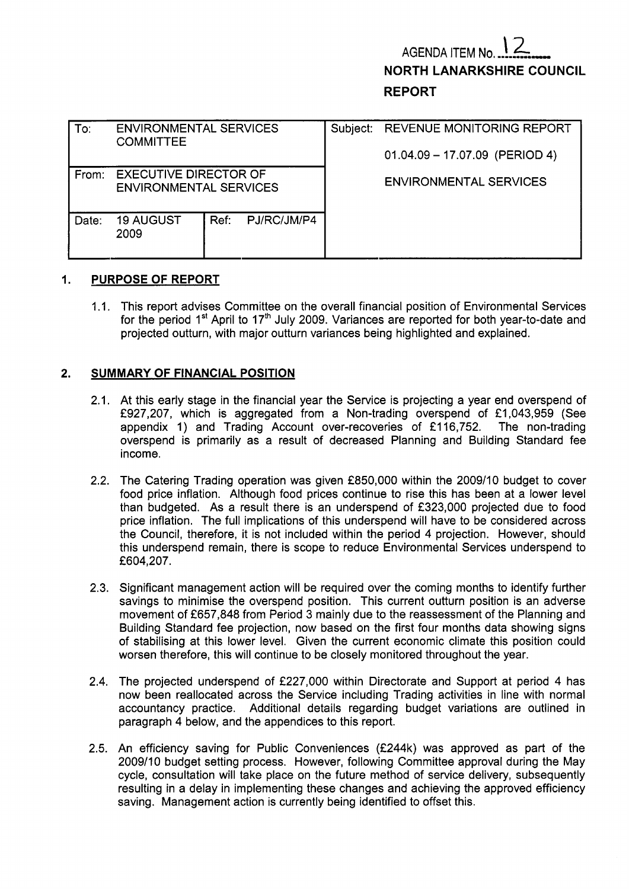# **AGENDA ITEM No NORTH LANARKSHIRE COUNCIL REPORT**

| To:   | <b>ENVIRONMENTAL SERVICES</b><br><b>COMMITTEE</b>             |      |             | Subject: | <b>REVENUE MONITORING REPORT</b><br>$01.04.09 - 17.07.09$ (PERIOD 4) |  |  |  |
|-------|---------------------------------------------------------------|------|-------------|----------|----------------------------------------------------------------------|--|--|--|
| From: | <b>EXECUTIVE DIRECTOR OF</b><br><b>ENVIRONMENTAL SERVICES</b> |      |             |          | <b>ENVIRONMENTAL SERVICES</b>                                        |  |  |  |
| Date: | <b>19 AUGUST</b><br>2009                                      | Ref: | PJ/RC/JM/P4 |          |                                                                      |  |  |  |

## I. **PURPOSE OF REPORT**

1.1. This report advises Committee on the overall financial position of Environmental Services for the period 1<sup>st</sup> April to 17<sup>th</sup> July 2009. Variances are reported for both year-to-date and projected outturn, with major outturn variances being highlighted and explained.

## **2. SUMMARY OF FINANCIAL POSITION**

- 2.1. At this early stage in the financial year the Service is projecting a year end overspend of £927,207, which is aggregated from a Non-trading overspend of £1,043,959 (See appendix 1) and Trading Account over-recoveries of £116,752. The non-trading overspend is primarily as a result of decreased Planning and Building Standard fee income.
- 2.2. The Catering Trading operation was given £850,000 within the 2009/10 budget to cover food price inflation. Although food prices continue to rise this has been at a lower level than budgeted. As a result there is an underspend of £323,000 projected due to food price inflation. The full implications of this underspend will have to be considered across the Council, therefore, it is not included within the period 4 projection. However, should this underspend remain, there is scope to reduce Environmental Services underspend to £604,207.
- 2.3. Significant management action will be required over the coming months to identify further savings to minimise the overspend position. This current outturn position is an adverse movement of f657,848 from Period 3 mainly due to the reassessment of the Planning and Building Standard fee projection, now based on the first four months data showing signs of stabilising at this lower level. Given the current economic climate this position could worsen therefore, this will continue to be closely monitored throughout the year.
- 2.4. The projected underspend of f227,OOO within Directorate and Support at period 4 has now been reallocated across the Service including Trading activities in line with normal accountancy practice. Additional details regarding budget variations are outlined in paragraph 4 below, and the appendices to this report.
- 2.5. An efficiency saving for Public Conveniences (£244k) was approved as part of the 2009/10 budget setting process. However, following Committee approval during the May cycle, consultation will take place on the future method of service delivery, subsequently resulting in a delay in implementing these changes and achieving the approved efficiency saving. Management action is currently being identified to offset this.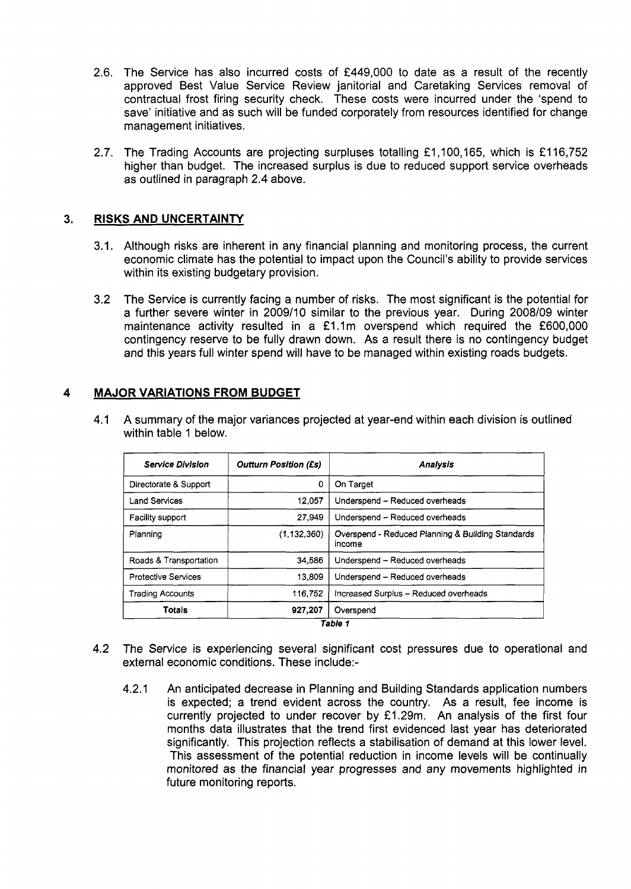- 2.6. The Service has also incurred costs of f449,OOO to date as a result of the recently approved Best Value Service Review janitorial and Caretaking Services removal of contractual frost firing security check. These costs were incurred under the 'spend to save' initiative and as such will be funded corporately from resources identified for change management initiatives.
- 2.7. The Trading Accounts are projecting surpluses totalling £1,100,165, which is £116,752 higher than budget. The increased surplus is due to reduced support service overheads as outlined in paragraph 2.4 above.

## **3. RISKS AND UNCERTAINTY**

- 3.1. Although risks are inherent in any financial planning and monitoring process, the current economic climate has the potential to impact upon the Council's ability to provide services within its existing budgetary provision.
- 3.2 The Service is currently facing a number of risks. The most significant **is** the potential for a further severe winter in 2009/10 similar to the previous year. During 2008/09 winter maintenance activity resulted in a £1.1m overspend which required the £600,000 contingency reserve to be fully drawn down. As a result there is no contingency budget and this years full winter spend will have to be managed within existing roads budgets.

## **4 MAJOR VARIATIONS FROM BUDGET**

| 4.1 A summary of the major variances projected at year-end within each division is outlined |
|---------------------------------------------------------------------------------------------|
| within table 1 below.                                                                       |
|                                                                                             |

| <b>Service Division</b>    | <b>Outturn Position (£s)</b> | <b>Analysis</b>                                             |
|----------------------------|------------------------------|-------------------------------------------------------------|
| Directorate & Support      | 0                            | On Target                                                   |
| <b>Land Services</b>       | 12.057                       | Underspend - Reduced overheads                              |
| Facility support           | 27,949                       | Underspend - Reduced overheads                              |
| Planning                   | (1, 132, 360)                | Overspend - Reduced Planning & Building Standards<br>income |
| Roads & Transportation     | 34,586                       | Underspend - Reduced overheads                              |
| <b>Protective Services</b> | 13,809                       | Underspend - Reduced overheads                              |
| <b>Trading Accounts</b>    | 116,752                      | Increased Surplus - Reduced overheads                       |
| Totals                     | 927,207                      | Overspend                                                   |

Table 1

- 4.2 The Service is experiencing several significant cost pressures due to operational and external economic conditions. These include:-
	- 4.2.1 An anticipated decrease in Planning and Building Standards application numbers is expected; a trend evident across the country. As a result, fee income is currently projected to under recover by £1.29m. An analysis of the first four months data illustrates that the trend first evidenced last year has deteriorated significantly. This projection reflects a stabilisation of demand at this lower level. This assessment of the potential reduction in income levels will be continually monitored as the financial year progresses and any movements highlighted in future monitoring reports.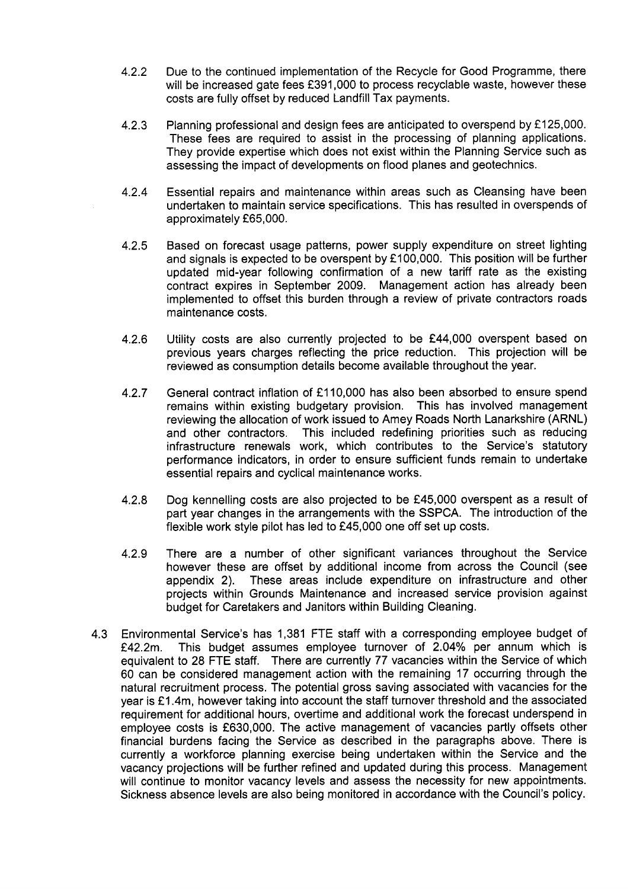- 4.2.2 Due to the continued implementation of the Recycle for Good Programme, there will be increased gate fees £391,000 to process recyclable waste, however these costs are fully offset by reduced Landfill Tax payments.
- 4.2.3 Planning professional and design fees are anticipated to overspend by £125,000. These fees are required to assist in the processing of planning applications. They provide expertise which does not exist within the Planning Service such as assessing the impact of developments on flood planes and geotechnics.
- 4.2.4 Essential repairs and maintenance within areas such as Cleansing have been undertaken to maintain service specifications. This has resulted in overspends of approximately f65,OOO.
- 4.2.5 Based on forecast usage patterns, power supply expenditure on street lighting and signals is expected to be overspent by £100,000. This position will be further updated mid-year following confirmation of a new tariff rate as the existing contract expires in September 2009. Management action has already been implemented to offset this burden through a review of private contractors roads maintenance costs .
- 4.2.6 Utility costs are also currently projected to be £44,000 overspent based on previous years charges reflecting the price reduction. This projection will be reviewed as consumption details become available throughout the year.
- 4.2.7 General contract inflation of £110,000 has also been absorbed to ensure spend remains within existing budgetary provision. This has involved management reviewing the allocation of work issued to Amey Roads North Lanarkshire (ARNL) and other contractors. This included redefining priorities such as reducing infrastructure renewals work, which contributes to the Service's statutory performance indicators, in order to ensure sufficient funds remain to undertake essential repairs and cyclical maintenance works.
- 4.2.8 Dog kennelling costs are also projected to be f45,000 overspent as a result of part year changes in the arrangements with the SSPCA. The introduction of the flexible work style pilot has led to £45,000 one off set up costs.
- 4.2.9 There are a number of other significant variances throughout the Service however these are offset by additional income from across the Council (see appendix 2). These areas include expenditure on infrastructure and other projects within Grounds Maintenance and increased service provision against budget for Caretakers and Janitors within Building Cleaning.
- 4.3 Environmental Service's has 1,381 FTE staff with a corresponding employee budget of f42.2m. This budget assumes employee turnover of 2.04% per annum which is equivalent to 28 FTE staff. There are currently 77 vacancies within the Service of which 60 can be considered management action with the remaining 17 occurring through the natural recruitment process. The potential gross saving associated with vacancies for the year is £1.4m, however taking into account the staff turnover threshold and the associated requirement for additional hours, overtime and additional work the forecast underspend in employee costs is f630,OOO. The active management of vacancies partly offsets other financial burdens facing the Service as described in the paragraphs above. There is currently a workforce planning exercise being undertaken within the Service and the vacancy projections will be further refined and updated during this process. Management will continue to monitor vacancy levels and assess the necessity for new appointments. Sickness absence levels are also being monitored in accordance with the Council's policy.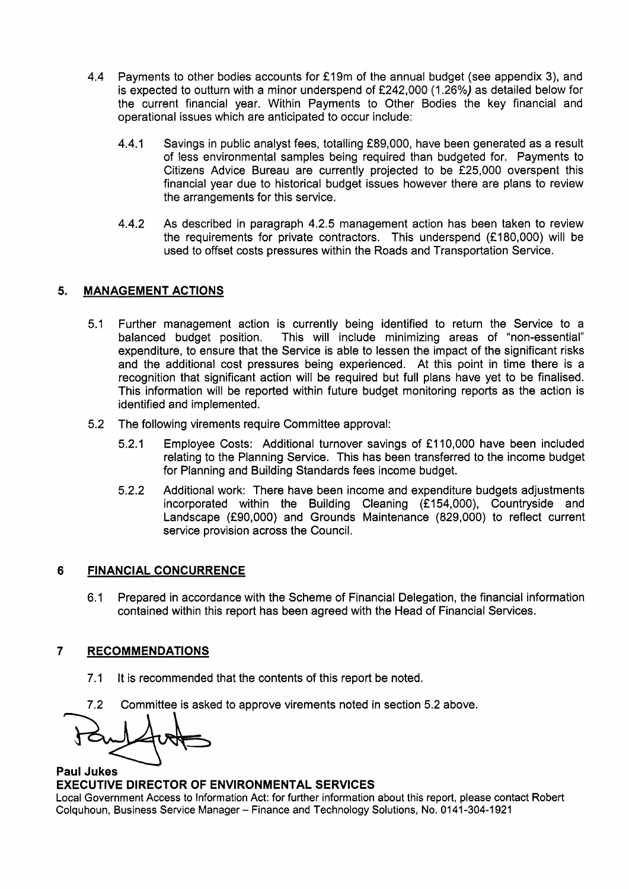- 4.4 Payments to other bodies accounts for £19m of the annual budget (see appendix 3), and is expected to outturn with a minor underspend of f242,OOO (1.26%) as detailed below for the current financial year. Within Payments to Other Bodies the key financial and operational issues which are anticipated to occur include:
	- 4.4.1 Savings in public analyst fees, totalling f89,000, have been generated as a result of less environmental samples being required than budgeted for. Payments to Citizens Advice Bureau are currently projected to be £25,000 overspent this financial year due to historical budget issues however there are plans to review the arrangements for this service.
	- 4.4.2 As described in paragraph 4.2.5 management action has been taken to review the requirements for private contractors. This underspend (£180,000) will be used to offset costs pressures within the Roads and Transportation Service.

## **5. MANAGEMENT ACTIONS**

- 5.1 Further management action is currently being identified to return the Service to a balanced budget position. This will include minimizing areas of "non-essential" expenditure, to ensure that the Service is able to lessen the impact of the significant risks and the additional cost pressures being experienced. At this point in time there is a recognition that significant action will be required but full plans have yet to be finalised. This information will be reported within future budget monitoring reports as the action is identified and implemented.
- 5.2 The following virements require Committee approval:
	- 5.2.1 Employee Costs: Additional turnover savings of f 11 0,000 have been included relating to the Planning Service. This has been transferred to the income budget for Planning and Building Standards fees income budget.
	- Additional work: There have been income and expenditure budgets adjustments incorporated within the Building Cleaning (£154,000), Countryside and Landscape (£90,000) and Grounds Maintenance (829,000) to reflect current service provision across the Council. 5.2.2

## **6 FINANCIAL CONCURRENCE**

6.1 Prepared in accordance with the Scheme of Financial Delegation, the financial information contained within this report has been agreed with the Head of Financial Services.

## **7 RECOMMENDATIONS**

- 7.1 It is recommended that the contents of this report be noted.
- 7.2 Committee is asked to approve virements noted in section 5.2 above.

**Paul Jukes** 

## **EXECUTIVE DIRECTOR OF ENVIRONMENTAL SERVICES**

Local Government Access to Information Act: for further information about this report, please contact Robert Colquhoun, Business Service Manager - Finance and Technology Solutions, No. 0141 -304-1 921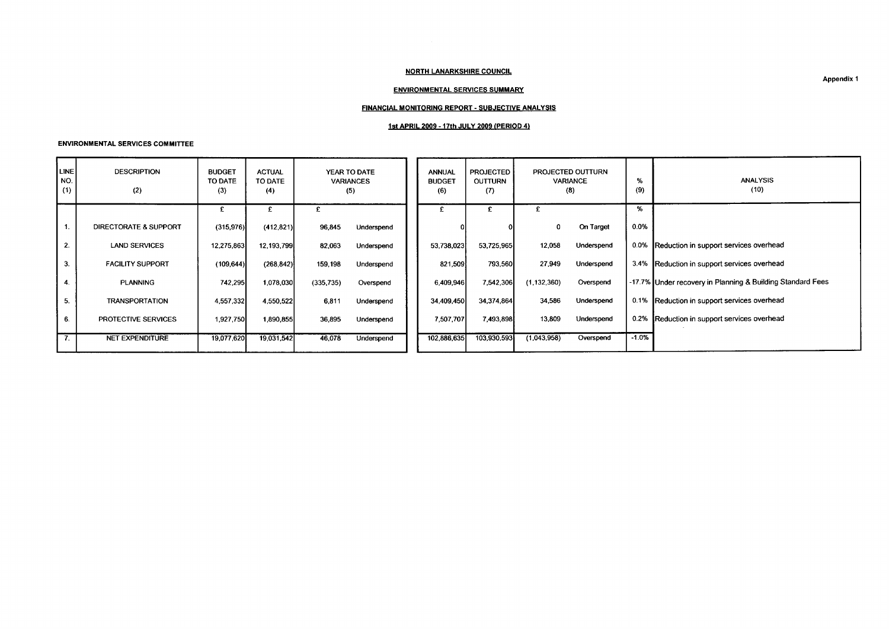### NORTH LANARKSHIRE COUNCIL

### ENVIRONMENTAL SERVICES SUMMARY

### FINANCIAL MONITORING REPORT - SUBJECTIVE ANALYSIS

## **1st** APRIL **2009** - 17th JULY **2009** [PERIOD 4)

#### ENVIRONMENTAL SERVICES COMMITTEE

|                             | <b>ENVIRONMENTAL SERVICES COMMITTEE</b> |                                 |                                 |            |                                         |                                       |                                           |                                             |            |          |                                                            |  |  |  |
|-----------------------------|-----------------------------------------|---------------------------------|---------------------------------|------------|-----------------------------------------|---------------------------------------|-------------------------------------------|---------------------------------------------|------------|----------|------------------------------------------------------------|--|--|--|
| <b>LINE</b><br>  NO.<br>(1) | <b>DESCRIPTION</b><br>(2)               | <b>BUDGET</b><br>TO DATE<br>(3) | <b>ACTUAL</b><br>TO DATE<br>(4) |            | YEAR TO DATE<br><b>VARIANCES</b><br>(5) | <b>ANNUAL</b><br><b>BUDGET</b><br>(6) | <b>PROJECTED</b><br><b>OUTTURN</b><br>(7) | PROJECTED OUTTURN<br><b>VARIANCE</b><br>(8) |            | %<br>(9) | <b>ANALYSIS</b><br>(10)                                    |  |  |  |
|                             |                                         | £                               |                                 | £          |                                         |                                       | £                                         | £                                           |            | %        |                                                            |  |  |  |
| $\mathbf{1}$ .              | DIRECTORATE & SUPPORT                   | (315, 976)                      | (412, 821)                      | 96,845     | Underspend                              |                                       |                                           | 0                                           | On Target  | 0.0%     |                                                            |  |  |  |
| 2.                          | <b>LAND SERVICES</b>                    | 12,275,863                      | 12,193,799                      | 82,063     | Underspend                              | 53,738,023                            | 53,725,965                                | 12,058                                      | Underspend | $0.0\%$  | Reduction in support services overhead                     |  |  |  |
| 3.                          | <b>FACILITY SUPPORT</b>                 | (109, 644)                      | (268, 842)                      | 159,198    | Underspend                              | 821,509                               | 793,560                                   | 27,949                                      | Underspend |          | 3.4% Reduction in support services overhead                |  |  |  |
| 4.                          | <b>PLANNING</b>                         | 742,295                         | 1,078,030                       | (335, 735) | Overspend                               | 6,409,946                             | 7,542,306                                 | (1, 132, 360)                               | Overspend  |          | -17.7% Under recovery in Planning & Building Standard Fees |  |  |  |
| 5.                          | <b>TRANSPORTATION</b>                   | 4,557,332                       | 4,550,522                       | 6.811      | Underspend                              | 34,409,450                            | 34,374,864                                | 34,586                                      | Underspend |          | 0.1% Reduction in support services overhead                |  |  |  |
| 6.                          | PROTECTIVE SERVICES                     | 1,927,750                       | 1,890,855                       | 36,895     | Underspend                              | 7,507,707                             | 7,493,898                                 | 13,809                                      | Underspend |          | 0.2% Reduction in support services overhead                |  |  |  |
| $\overline{\tau}$ .         | <b>NET EXPENDITURE</b>                  | 19,077,620                      | 19,031,542                      | 46,078     | Underspend                              | 102,886,635                           | 103,930,593                               | (1,043,958)                                 | Overspend  | $-1.0%$  |                                                            |  |  |  |
|                             |                                         |                                 |                                 |            |                                         |                                       |                                           |                                             |            |          |                                                            |  |  |  |

Appendix 1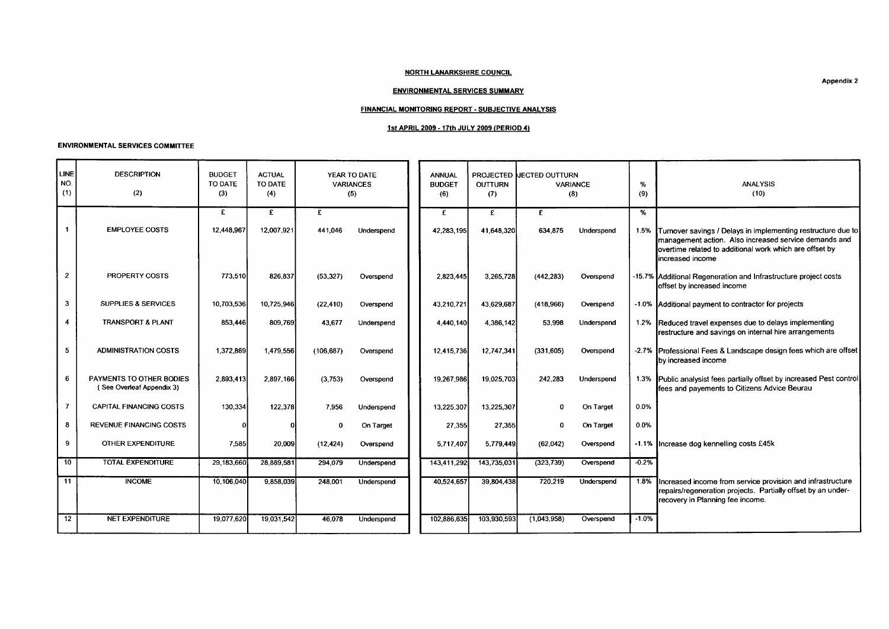### NORTH LANARKSHIRE COUNCIL

### ENVIRONMENTAL SERVICES SUMMARY

## FINANCIAL MONITORING REPORT - SUBJECTIVE ANALYSIS

### 1st APRIL 2009 - 17th JULY 2009 (PERIOD **4)**

#### ENVIRONMENTAL SERVICES COMMITTEE

|                    |                                                       |                          |                          |                           |                           | <b>NORTH LANARKSHIRE COUNCIL</b>                                                                  |                     |                          |                        |         | <b>Appendix 2</b>                                                                                                                                                                                         |
|--------------------|-------------------------------------------------------|--------------------------|--------------------------|---------------------------|---------------------------|---------------------------------------------------------------------------------------------------|---------------------|--------------------------|------------------------|---------|-----------------------------------------------------------------------------------------------------------------------------------------------------------------------------------------------------------|
|                    |                                                       |                          |                          |                           |                           | <b>ENVIRONMENTAL SERVICES SUMMARY</b><br><b>FINANCIAL MONITORING REPORT - SUBJECTIVE ANALYSIS</b> |                     |                          |                        |         |                                                                                                                                                                                                           |
|                    |                                                       |                          |                          |                           |                           | <u>1st APRIL 2009 - 17th JULY 2009 (PERIOD 4)</u>                                                 |                     |                          |                        |         |                                                                                                                                                                                                           |
|                    | <b>ENVIRONMENTAL SERVICES COMMITTEE</b>               |                          |                          |                           |                           |                                                                                                   |                     |                          |                        |         |                                                                                                                                                                                                           |
| <b>LINE</b><br>NO. | <b>DESCRIPTION</b>                                    | <b>BUDGET</b><br>TO DATE | <b>ACTUAL</b><br>TO DATE |                           | YEAR TO DATE<br>VARIANCES | <b>ANNUAL</b><br><b>BUDGET</b>                                                                    | OUTTURN             | PROJECTED LECTED OUTTURN | VARIANCE               | %       | ANALYSIS                                                                                                                                                                                                  |
| (1)                | (2)                                                   | (3)                      | (4)                      |                           | (5)                       | (6)                                                                                               | (7)                 |                          | (8)                    | (9)     | (10)                                                                                                                                                                                                      |
|                    | <b>EMPLOYEE COSTS</b>                                 | E.<br>12,448,967         | £<br>12,007,921          | £<br>441,046              | Underspend                | E<br>42,283,195                                                                                   | £<br>41,648,320     | E<br>634,875             | Underspend             | %       | 1.5% Turnover savings / Delays in implementing restructure due to<br>management action. Also increased service demands and<br>overtime related to additional work which are offset by<br>increased income |
| 2 <sub>2</sub>     | <b>PROPERTY COSTS</b>                                 | 773,510                  | 826,837                  | (53, 327)                 | Overspend                 | 2,823,445                                                                                         | 3,265,728           | (442, 283)               | Overspend              |         | -15.7% Additional Regeneration and Infrastructure project costs<br>offset by increased income                                                                                                             |
| 3 <sup>7</sup>     | <b>SUPPLIES &amp; SERVICES</b>                        | 10,703,536               | 10,725,946               | (22, 410)                 | Overspend                 | 43,210,721                                                                                        | 43,629,687          | (418,966)                | Overspend              |         | -1.0% Additional payment to contractor for projects                                                                                                                                                       |
| $\overline{4}$     | TRANSPORT & PLANT                                     | 853,446                  | 809,769                  | 43,677                    | Underspend                | 4,440,140                                                                                         | 4,386,142           | 53,998                   | Underspend             |         | 1.2% Reduced travel expenses due to delays implementing<br>restructure and savings on internal hire arrangements                                                                                          |
| 5 <sup>1</sup>     | <b>ADMINISTRATION COSTS</b>                           | 1,372,869                | 1,479,556                | (106, 687)                | Overspend                 | 12,415,736                                                                                        | 12,747,341          | (331, 605)               | Overspend              |         | -2.7% Professional Fees & Landscape design fees which are offset<br>by increased income                                                                                                                   |
| 6                  | PAYMENTS TO OTHER BODIES<br>(See Overleaf Appendix 3) | 2,893,413                | 2,897,166                | (3, 753)                  | Overspend                 | 19,267,986                                                                                        | 19,025,703          | 242,283                  | Underspend             |         | 1.3% Public analysist fees partially offset by increased Pest control<br>fees and payements to Citizens Advice Beurau                                                                                     |
| $\overline{7}$     | CAPITAL FINANCING COSTS                               | 130,334                  | 122,378                  | 7,956                     | Underspend                | 13,225,307                                                                                        | 13,225,307          | $\Omega$                 | On Target              | $0.0\%$ |                                                                                                                                                                                                           |
| 8<br>$9^{\circ}$   | REVENUE FINANCING COSTS<br>OTHER EXPENDITURE          | 7,585                    | 20,009                   | $\mathbf{0}$<br>(12, 424) | On Target<br>Overspend    | 27,355<br>5,717,407                                                                               | 27,355<br>5.779,449 | $\Omega$<br>(62,042)     | On Target<br>Overspend | $0.0\%$ | -1.1%  Increase dog kennelling costs £45k                                                                                                                                                                 |
| 10                 | <b>TOTAL EXPENDITURE</b>                              | 29,183,660               | 28,889,581               | 294,079                   | Underspend                | 143,411,292                                                                                       | 143,735,031         | (323, 739)               | Overspend              | $-0.2%$ |                                                                                                                                                                                                           |
| 11                 | <b>INCOME</b>                                         | 10,106,040               | 9,858,039                | 248,001                   | Underspend                | 40,524,657                                                                                        | 39,804,438          | 720,219                  | Underspend             |         | 1.8% Increased income from service provision and infrastructure<br>repairs/regeneration projects. Partially offset by an under-<br>recovery in Planning fee income.                                       |
|                    | 12<br>NET EXPENDITURE                                 | 19,077,620               | 19,031,542               | 46,078                    | Underspend                | 102,886,635                                                                                       | 103,930,593         | (1,043,958)              | Overspend              | $-1.0%$ |                                                                                                                                                                                                           |